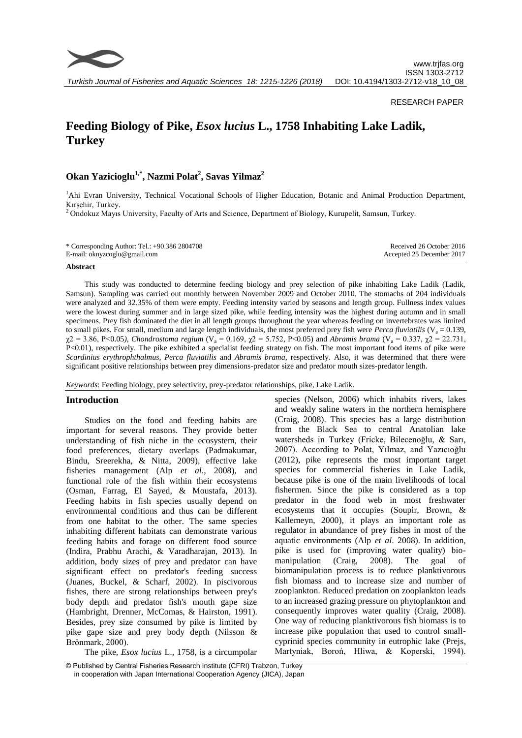

## RESEARCH PAPER

# **Feeding Biology of Pike,** *Esox lucius* **L., 1758 Inhabiting Lake Ladik, Turkey**

## **Okan Yazicioglu1,\* , Nazmi Polat<sup>2</sup> , Savas Yilmaz<sup>2</sup>**

<sup>1</sup>Ahi Evran University, Technical Vocational Schools of Higher Education, Botanic and Animal Production Department, Kırşehir, Turkey.

<sup>2</sup> Ondokuz Mayıs University, Faculty of Arts and Science, Department of Biology, Kurupelit, Samsun, Turkey.

| * Corresponding Author: Tel.: +90.386 2804708 | Received 26 October 2016  |
|-----------------------------------------------|---------------------------|
| E-mail: oknyzcoglu@gmail.com                  | Accepted 25 December 2017 |

## **Abstract**

This study was conducted to determine feeding biology and prey selection of pike inhabiting Lake Ladik (Ladik, Samsun). Sampling was carried out monthly between November 2009 and October 2010. The stomachs of 204 individuals were analyzed and 32.35% of them were empty. Feeding intensity varied by seasons and length group. Fullness index values were the lowest during summer and in large sized pike, while feeding intensity was the highest during autumn and in small specimens. Prey fish dominated the diet in all length groups throughout the year whereas feeding on invertebrates was limited to small pikes. For small, medium and large length individuals, the most preferred prey fish were *Perca fluviatilis* ( $V_a = 0.139$ , χ2 = 3.86, P<0.05*), Chondrostoma regium* (V<sup>a</sup> = 0.169, χ2 = 5.752, P<0.05) and *Abramis brama* (V<sup>a</sup> = 0.337, χ2 = 22.731, P<0.01), respectively. The pike exhibited a specialist feeding strategy on fish. The most important food items of pike were *Scardinius erythrophthalmus, Perca fluviatilis* and *Abramis brama*, respectively. Also, it was determined that there were significant positive relationships between prey dimensions-predator size and predator mouth sizes-predator length.

*Keywords*: Feeding biology, prey selectivity, prey-predator relationships, pike, Lake Ladik.

## **Introduction**

Studies on the food and feeding habits are important for several reasons. They provide better understanding of fish niche in the ecosystem, their food preferences, dietary overlaps (Padmakumar, Bindu, Sreerekha, & Nitta, 2009), effective lake fisheries management (Alp *et al*., 2008), and functional role of the fish within their ecosystems (Osman, Farrag, El Sayed, & Moustafa, 2013). Feeding habits in fish species usually depend on environmental conditions and thus can be different from one habitat to the other. The same species inhabiting different habitats can demonstrate various feeding habits and forage on different food source (Indira, Prabhu Arachi, & Varadharajan, 2013). In addition, body sizes of prey and predator can have significant effect on predator's feeding success (Juanes, Buckel, & Scharf, 2002). In piscivorous fishes, there are strong relationships between prey's body depth and predator fish's mouth gape size (Hambright, Drenner, McComas, & Hairston, 1991). Besides, prey size consumed by pike is limited by pike gape size and prey body depth (Nilsson & Brönmark, 2000).

The pike, *Esox lucius* L., 1758, is a circumpolar

species (Nelson, 2006) which inhabits rivers, lakes and weakly saline waters in the northern hemisphere (Craig, 2008). This species has a large distribution from the Black Sea to central Anatolian lake watersheds in Turkey (Fricke, Bilecenoğlu, & Sarı, 2007). According to Polat, Yılmaz, and Yazıcıoğlu (2012), pike represents the most important target species for commercial fisheries in Lake Ladik, because pike is one of the main livelihoods of local fishermen. Since the pike is considered as a top predator in the food web in most freshwater ecosystems that it occupies (Soupir, Brown, & Kallemeyn, 2000), it plays an important role as regulator in abundance of prey fishes in most of the aquatic environments (Alp *et al*. 2008). In addition, pike is used for (improving water quality) biomanipulation (Craig, 2008). The goal of biomanipulation process is to reduce planktivorous fish biomass and to increase size and number of zooplankton. Reduced predation on zooplankton leads to an increased grazing pressure on phytoplankton and consequently improves water quality (Craig, 2008). One way of reducing planktivorous fish biomass is to increase pike population that used to control smallcyprinid species community in eutrophic lake (Prejs, Martyniak, Boroń, Hliwa, & Koperski, 1994).

© Published by Central Fisheries Research Institute (CFRI) Trabzon, Turkey in cooperation with Japan International Cooperation Agency (JICA), Japan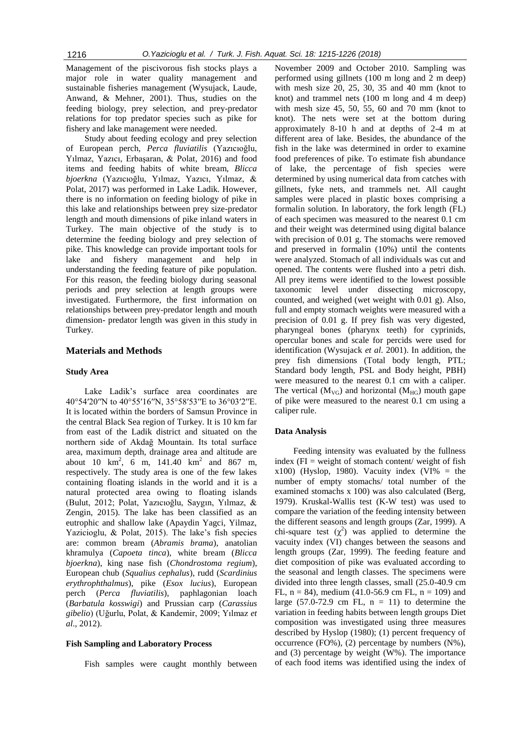Management of the piscivorous fish stocks plays a major role in water quality management and sustainable fisheries management (Wysujack, Laude, Anwand, & Mehner, 2001). Thus, studies on the feeding biology, prey selection, and prey-predator relations for top predator species such as pike for fishery and lake management were needed.

Study about feeding ecology and prey selection of European perch, *Perca fluviatilis* (Yazıcıoğlu, Yılmaz, Yazıcı, Erbaşaran, & Polat, 2016) and food items and feeding habits of white bream, *Blicca bjoerkna* (Yazıcıoğlu, Yılmaz, Yazıcı, Yılmaz, & Polat, 2017) was performed in Lake Ladik. However, there is no information on feeding biology of pike in this lake and relationships between prey size-predator length and mouth dimensions of pike inland waters in Turkey. The main objective of the study is to determine the feeding biology and prey selection of pike. This knowledge can provide important tools for lake and fishery management and help in understanding the feeding feature of pike population. For this reason, the feeding biology during seasonal periods and prey selection at length groups were investigated. Furthermore, the first information on relationships between prey-predator length and mouth dimension- predator length was given in this study in Turkey.

## **Materials and Methods**

## **Study Area**

Lake Ladik's surface area coordinates are 40°54′20′′N to 40°55′16′′N, 35°58′53′′E to 36°03′2′′E. It is located within the borders of Samsun Province in the central Black Sea region of Turkey. It is 10 km far from east of the Ladik district and situated on the northern side of Akdağ Mountain. Its total surface area, maximum depth, drainage area and altitude are about 10  $\text{km}^2$ , 6 m, 141.40  $\text{km}^2$  and 867 m, respectively. The study area is one of the few lakes containing floating islands in the world and it is a natural protected area owing to floating islands (Bulut, 2012; Polat, Yazıcıoğlu, Saygın, Yılmaz, & Zengin, 2015). The lake has been classified as an eutrophic and shallow lake (Apaydin Yagci, Yilmaz, Yazicioglu, & Polat, 2015). The lake's fish species are: common bream (*Abramis brama*), anatolian khramulya (*Capoeta tinca*), white bream (*Blicca bjoerkna*), king nase fish (*Chondrostoma regium*), European chub (*Squalius cephalus*), rudd (*Scardinius erythrophthalmus*), pike (*Esox lucius*), European perch (*Perca fluviatilis*), paphlagonian loach (*Barbatula kosswigi*) and Prussian carp (*Carassius gibelio*) (Uğurlu, Polat, & Kandemir, 2009; Yılmaz *et al*., 2012).

#### **Fish Sampling and Laboratory Process**

Fish samples were caught monthly between

November 2009 and October 2010. Sampling was performed using gillnets (100 m long and 2 m deep) with mesh size 20, 25, 30, 35 and 40 mm (knot to knot) and trammel nets (100 m long and 4 m deep) with mesh size 45, 50, 55, 60 and 70 mm (knot to knot). The nets were set at the bottom during approximately 8-10 h and at depths of 2-4 m at different area of lake. Besides, the abundance of the fish in the lake was determined in order to examine food preferences of pike. To estimate fish abundance of lake, the percentage of fish species were determined by using numerical data from catches with gillnets, fyke nets, and trammels net. All caught samples were placed in plastic boxes comprising a formalin solution. In laboratory, the fork length (FL) of each specimen was measured to the nearest 0.1 cm and their weight was determined using digital balance with precision of 0.01 g. The stomachs were removed and preserved in formalin (10%) until the contents were analyzed. Stomach of all individuals was cut and opened. The contents were flushed into a petri dish. All prey items were identified to the lowest possible taxonomic level under dissecting microscopy, counted, and weighed (wet weight with 0.01 g). Also, full and empty stomach weights were measured with a precision of 0.01 g. If prey fish was very digested, pharyngeal bones (pharynx teeth) for cyprinids, opercular bones and scale for percids were used for identification (Wysujack *et al*. 2001). In addition, the prey fish dimensions (Total body length, PTL; Standard body length, PSL and Body height, PBH) were measured to the nearest 0.1 cm with a caliper. The vertical  $(M_{VG})$  and horizontal  $(M_{HG})$  mouth gape of pike were measured to the nearest 0.1 cm using a caliper rule.

#### **Data Analysis**

Feeding intensity was evaluated by the fullness index ( $FI$  = weight of stomach content/ weight of fish  $x100$ ) (Hyslop, 1980). Vacuity index (VI% = the number of empty stomachs/ total number of the examined stomachs x 100) was also calculated (Berg, 1979). Kruskal-Wallis test (K-W test) was used to compare the variation of the feeding intensity between the different seasons and length groups (Zar, 1999). A chi-square test  $(\chi^2)$  was applied to determine the vacuity index (VI) changes between the seasons and length groups (Zar, 1999). The feeding feature and diet composition of pike was evaluated according to the seasonal and length classes. The specimens were divided into three length classes, small (25.0-40.9 cm FL,  $n = 84$ ), medium (41.0-56.9 cm FL,  $n = 109$ ) and large  $(57.0-72.9 \text{ cm FL}, n = 11)$  to determine the variation in feeding habits between length groups Diet composition was investigated using three measures described by Hyslop (1980); (1) percent frequency of occurrence  $(FO\%)$ ,  $(2)$  percentage by numbers  $(N\%)$ , and (3) percentage by weight (W%). The importance of each food items was identified using the index of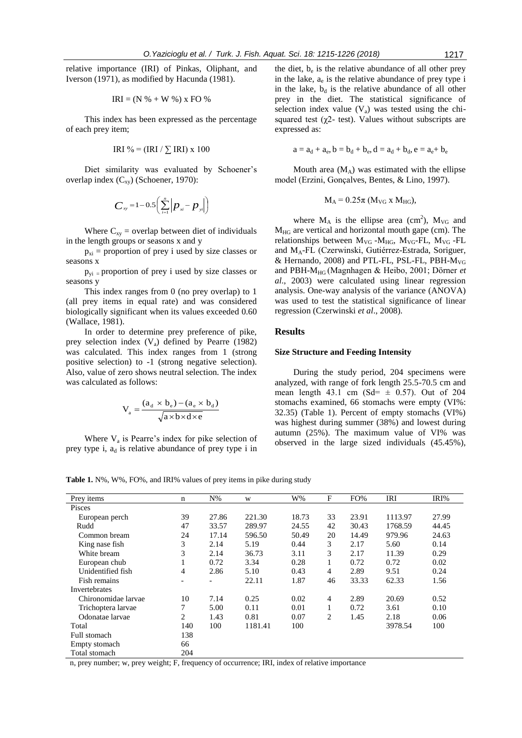relative importance (IRI) of Pinkas, Oliphant, and Iverson (1971), as modified by Hacunda (1981).

$$
IRI = (N % + W %)
$$
 x FO %

This index has been expressed as the percentage of each prey item;

IRI % = 
$$
(IRI / \sum IRI) x 100
$$

Diet similarity was evaluated by Schoener's overlap index  $(C_{xy})$  (Schoener, 1970):

$$
C_{xy} = 1 - 0.5 \left( \sum_{i=1}^{n} \left| p_{xi} - p_{yi} \right| \right)
$$

Where  $C_{xy}$  = overlap between diet of individuals in the length groups or seasons x and y

 $p_{xi}$  = proportion of prey i used by size classes or seasons x

 $p_{yi}$  = proportion of prey i used by size classes or seasons y

This index ranges from 0 (no prey overlap) to 1 (all prey items in equal rate) and was considered biologically significant when its values exceeded 0.60 (Wallace, 1981).

In order to determine prey preference of pike, prey selection index  $(V_a)$  defined by Pearre (1982) was calculated. This index ranges from 1 (strong positive selection) to -1 (strong negative selection). Also, value of zero shows neutral selection. The index was calculated as follows:

$$
V_a = \frac{(a_d \times b_e) - (a_e \times b_d)}{\sqrt{a \times b \times d \times e}}
$$

Where  $V_a$  is Pearre's index for pike selection of prey type i,  $a_d$  is relative abundance of prey type i in

the diet,  $b_e$  is the relative abundance of all other prey in the lake,  $a_e$  is the relative abundance of prey type i in the lake,  $b_d$  is the relative abundance of all other prey in the diet. The statistical significance of selection index value  $(V_a)$  was tested using the chisquared test ( $\chi$ 2- test). Values without subscripts are expressed as:

$$
a=a_{d}+a_{e}, b=b_{d}+b_{e}, d=a_{d}+b_{d}, e=a_{e}+b_{e}
$$

Mouth area  $(M_A)$  was estimated with the ellipse model (Erzini, Gonçalves, Bentes, & Lino, 1997).

$$
M_A = 0.25\pi \ (M_{VG} \ x \ M_{HG}),
$$

where  $M_A$  is the ellipse area (cm<sup>2</sup>),  $M_{VG}$  and  $M_{HG}$  are vertical and horizontal mouth gape (cm). The relationships between  $M_{VG}$ - $M_{HG}$ ,  $M_{VG}$ -FL,  $M_{VG}$ -FL and MA-FL (Czerwinski, Gutiérrez-Estrada, Soriguer, & Hernando, 2008) and PTL-FL, PSL-FL, PBH- $M_{VG}$ and PBH-MHG (Magnhagen & Heibo, 2001; Dörner *et al*., 2003) were calculated using linear regression analysis. One-way analysis of the variance (ANOVA) was used to test the statistical significance of linear regression (Czerwinski *et al*., 2008).

## **Results**

#### **Size Structure and Feeding Intensity**

During the study period, 204 specimens were analyzed, with range of fork length 25.5-70.5 cm and mean length 43.1 cm (Sd=  $\pm$  0.57). Out of 204 stomachs examined, 66 stomachs were empty (VI%: 32.35) (Table 1). Percent of empty stomachs (VI%) was highest during summer (38%) and lowest during autumn (25%). The maximum value of VI% was observed in the large sized individuals (45.45%),

**Table 1.** N%, W%, FO%, and IRI% values of prey items in pike during study

| Prey items          | n   | $N\%$                    | W       | W%    | F              | FO%   | IRI     | IRI%  |
|---------------------|-----|--------------------------|---------|-------|----------------|-------|---------|-------|
| Pisces              |     |                          |         |       |                |       |         |       |
| European perch      | 39  | 27.86                    | 221.30  | 18.73 | 33             | 23.91 | 1113.97 | 27.99 |
| Rudd                | 47  | 33.57                    | 289.97  | 24.55 | 42             | 30.43 | 1768.59 | 44.45 |
| Common bream        | 24  | 17.14                    | 596.50  | 50.49 | 20             | 14.49 | 979.96  | 24.63 |
| King nase fish      | 3   | 2.14                     | 5.19    | 0.44  | 3              | 2.17  | 5.60    | 0.14  |
| White bream         | 3   | 2.14                     | 36.73   | 3.11  | 3              | 2.17  | 11.39   | 0.29  |
| European chub       |     | 0.72                     | 3.34    | 0.28  |                | 0.72  | 0.72    | 0.02  |
| Unidentified fish   | 4   | 2.86                     | 5.10    | 0.43  | 4              | 2.89  | 9.51    | 0.24  |
| Fish remains        |     | $\overline{\phantom{0}}$ | 22.11   | 1.87  | 46             | 33.33 | 62.33   | 1.56  |
| Invertebrates       |     |                          |         |       |                |       |         |       |
| Chironomidae larvae | 10  | 7.14                     | 0.25    | 0.02  | 4              | 2.89  | 20.69   | 0.52  |
| Trichoptera larvae  | 7   | 5.00                     | 0.11    | 0.01  |                | 0.72  | 3.61    | 0.10  |
| Odonatae larvae     | 2   | 1.43                     | 0.81    | 0.07  | $\overline{c}$ | 1.45  | 2.18    | 0.06  |
| Total               | 140 | 100                      | 1181.41 | 100   |                |       | 3978.54 | 100   |
| Full stomach        | 138 |                          |         |       |                |       |         |       |
| Empty stomach       | 66  |                          |         |       |                |       |         |       |
| Total stomach       | 204 |                          |         |       |                |       |         |       |

n, prey number; w, prey weight; F, frequency of occurrence; IRI, index of relative importance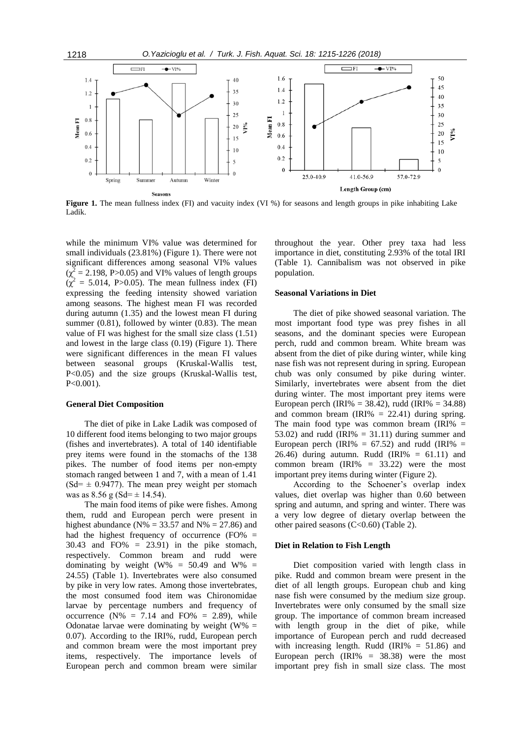

**Figure 1.** The mean fullness index (FI) and vacuity index (VI %) for seasons and length groups in pike inhabiting Lake Ladik.

while the minimum VI% value was determined for small individuals (23.81%) (Figure 1). There were not significant differences among seasonal VI% values  $(\chi^2 = 2.198, P > 0.05)$  and VI% values of length groups  $(\chi^2 = 5.014, P > 0.05)$ . The mean fullness index (FI) expressing the feeding intensity showed variation among seasons. The highest mean FI was recorded during autumn (1.35) and the lowest mean FI during summer (0.81), followed by winter (0.83). The mean value of FI was highest for the small size class (1.51) and lowest in the large class (0.19) (Figure 1). There were significant differences in the mean FI values between seasonal groups (Kruskal-Wallis test, P<0.05) and the size groups (Kruskal-Wallis test, P<0.001).

#### **General Diet Composition**

The diet of pike in Lake Ladik was composed of 10 different food items belonging to two major groups (fishes and invertebrates). A total of 140 identifiable prey items were found in the stomachs of the 138 pikes. The number of food items per non-empty stomach ranged between 1 and 7, with a mean of 1.41  $(Sd= \pm 0.9477)$ . The mean prey weight per stomach was as  $8.56$  g (Sd=  $\pm$  14.54).

The main food items of pike were fishes. Among them, rudd and European perch were present in highest abundance ( $N\% = 33.57$  and  $N\% = 27.86$ ) and had the highest frequency of occurrence  $(FO\% =$  $30.43$  and  $FO% = 23.91$  in the pike stomach, respectively. Common bream and rudd were dominating by weight (W% =  $50.49$  and W% = 24.55) (Table 1). Invertebrates were also consumed by pike in very low rates. Among those invertebrates, the most consumed food item was Chironomidae larvae by percentage numbers and frequency of occurrence ( $N\% = 7.14$  and  $FO\% = 2.89$ ), while Odonatae larvae were dominating by weight  $(W\% =$ 0.07). According to the IRI%, rudd, European perch and common bream were the most important prey items, respectively. The importance levels of European perch and common bream were similar

throughout the year. Other prey taxa had less importance in diet, constituting 2.93% of the total IRI (Table 1). Cannibalism was not observed in pike population.

## **Seasonal Variations in Diet**

The diet of pike showed seasonal variation. The most important food type was prey fishes in all seasons, and the dominant species were European perch, rudd and common bream. White bream was absent from the diet of pike during winter, while king nase fish was not represent during in spring. European chub was only consumed by pike during winter. Similarly, invertebrates were absent from the diet during winter. The most important prey items were European perch (IRI% = 38.42), rudd (IRI% = 34.88) and common bream (IRI% = 22.41) during spring. The main food type was common bream  $\text{IRI\%}$  = 53.02) and rudd (IRI%  $= 31.11$ ) during summer and European perch (IRI% =  $67.52$ ) and rudd (IRI% = 26.46) during autumn. Rudd (IRI $% = 61.11$ ) and common bream  $\text{(IRI)}\% = 33.22$  were the most important prey items during winter (Figure 2).

According to the Schoener's overlap index values, diet overlap was higher than 0.60 between spring and autumn, and spring and winter. There was a very low degree of dietary overlap between the other paired seasons (C<0.60) (Table 2).

#### **Diet in Relation to Fish Length**

Diet composition varied with length class in pike. Rudd and common bream were present in the diet of all length groups. European chub and king nase fish were consumed by the medium size group. Invertebrates were only consumed by the small size group. The importance of common bream increased with length group in the diet of pike, while importance of European perch and rudd decreased with increasing length. Rudd (IRI $\% = 51.86$ ) and European perch  $(IRI% = 38.38)$  were the most important prey fish in small size class. The most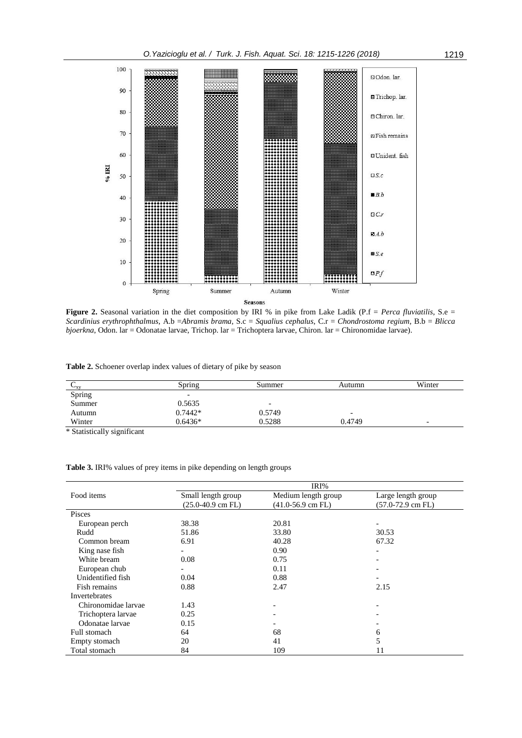

**Figure 2.** Seasonal variation in the diet composition by IRI % in pike from Lake Ladik (P.f = *Perca fluviatilis*, S.e = *Scardinius erythrophthalmus*, A.b =*Abramis brama*, S.c = *Squalius cephalus*, C.r = *Chondrostoma regium*, B.b = *Blicca bjoerkna*, Odon. lar = Odonatae larvae, Trichop. lar = Trichoptera larvae, Chiron. lar = Chironomidae larvae).

**Table 2.** Schoener overlap index values of dietary of pike by season

| $\mathbf{v}_{xy}$                                                                          | Spring                   | Summer | Autumn                   | Winter |
|--------------------------------------------------------------------------------------------|--------------------------|--------|--------------------------|--------|
| Spring                                                                                     | -                        |        |                          |        |
| Summer                                                                                     | 0.5635                   | -      |                          |        |
| Autumn                                                                                     | $0.7442*$                | 0.5749 | $\overline{\phantom{0}}$ |        |
| Winter                                                                                     | $0.6436*$                | 0.5288 | 0.4749                   | -      |
| $\mathbf{a}_1, \mathbf{a}_2, \ldots, \mathbf{a}_{n-1}, \mathbf{a}_n, \ldots, \mathbf{a}_n$ | the contract of the con- |        |                          |        |

\* Statistically significant

**Table 3.** IRI% values of prey items in pike depending on length groups

|                     | IRI%                  |                       |                          |  |  |
|---------------------|-----------------------|-----------------------|--------------------------|--|--|
| Food items          | Small length group    | Medium length group   | Large length group       |  |  |
|                     | $(25.0 - 40.9$ cm FL) | $(41.0 - 56.9$ cm FL) | $(57.0-72.9$ cm FL)      |  |  |
| Pisces              |                       |                       |                          |  |  |
| European perch      | 38.38                 | 20.81                 |                          |  |  |
| Rudd                | 51.86                 | 33.80                 | 30.53                    |  |  |
| Common bream        | 6.91                  | 40.28                 | 67.32                    |  |  |
| King nase fish      |                       | 0.90                  | $\overline{\phantom{a}}$ |  |  |
| White bream         | 0.08                  | 0.75                  | $\overline{\phantom{a}}$ |  |  |
| European chub       |                       | 0.11                  | -                        |  |  |
| Unidentified fish   | 0.04                  | 0.88                  |                          |  |  |
| Fish remains        | 0.88                  | 2.47                  | 2.15                     |  |  |
| Invertebrates       |                       |                       |                          |  |  |
| Chironomidae larvae | 1.43                  |                       | $\overline{\phantom{a}}$ |  |  |
| Trichoptera larvae  | 0.25                  |                       | $\overline{\phantom{a}}$ |  |  |
| Odonatae larvae     | 0.15                  |                       |                          |  |  |
| Full stomach        | 64                    | 68                    | 6                        |  |  |
| Empty stomach       | 20                    | 41                    | 5                        |  |  |
| Total stomach       | 84                    | 109                   | 11                       |  |  |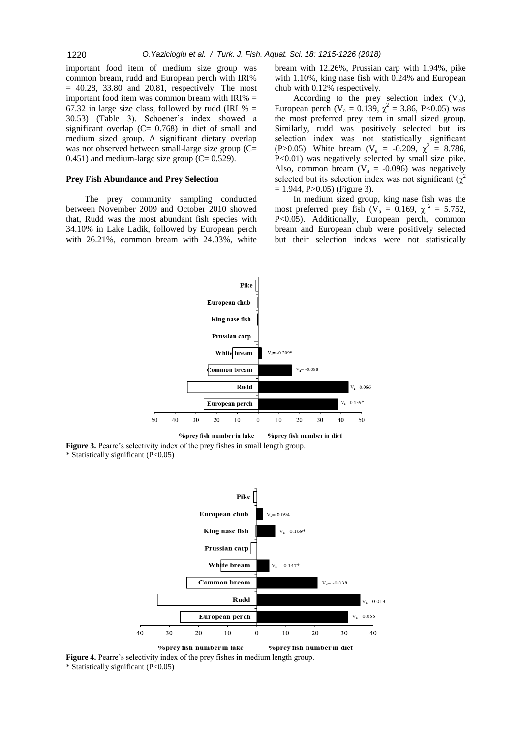important food item of medium size group was common bream, rudd and European perch with IRI%  $= 40.28$ , 33.80 and 20.81, respectively. The most important food item was common bream with  $IRI% =$ 67.32 in large size class, followed by rudd (IRI  $% =$ 30.53) (Table 3). Schoener's index showed a significant overlap (C= 0.768) in diet of small and medium sized group. A significant dietary overlap was not observed between small-large size group (C=  $(0.451)$  and medium-large size group  $(C= 0.529)$ .

#### **Prey Fish Abundance and Prey Selection**

The prey community sampling conducted between November 2009 and October 2010 showed that, Rudd was the most abundant fish species with 34.10% in Lake Ladik, followed by European perch with 26.21%, common bream with 24.03%, white

bream with 12.26%, Prussian carp with 1.94%, pike with 1.10%, king nase fish with 0.24% and European chub with 0.12% respectively.

According to the prey selection index  $(V_a)$ , European perch ( $V_a = 0.139$ ,  $\chi^2 = 3.86$ , P<0.05) was the most preferred prey item in small sized group. Similarly, rudd was positively selected but its selection index was not statistically significant (P>0.05). White bream (V<sub>a</sub> = -0.209,  $\chi^2 = 8.786$ , P<0.01) was negatively selected by small size pike. Also, common bream ( $V_a = -0.096$ ) was negatively selected but its selection index was not significant  $(\chi^2)$  $= 1.944$ , P $> 0.05$ ) (Figure 3).

In medium sized group, king nase fish was the most preferred prey fish ( $V_a = 0.169$ ,  $\chi^2 = 5.752$ , P<0.05). Additionally, European perch, common bream and European chub were positively selected but their selection indexs were not statistically



**%prey fish number in lake** %prev fish number in diet

**Figure 3.** Pearre's selectivity index of the prey fishes in small length group. \* Statistically significant (P<0.05)



%prey fish number in lake %prey fish number in diet **Figure 4.** Pearre's selectivity index of the prey fishes in medium length group.

\* Statistically significant (P<0.05)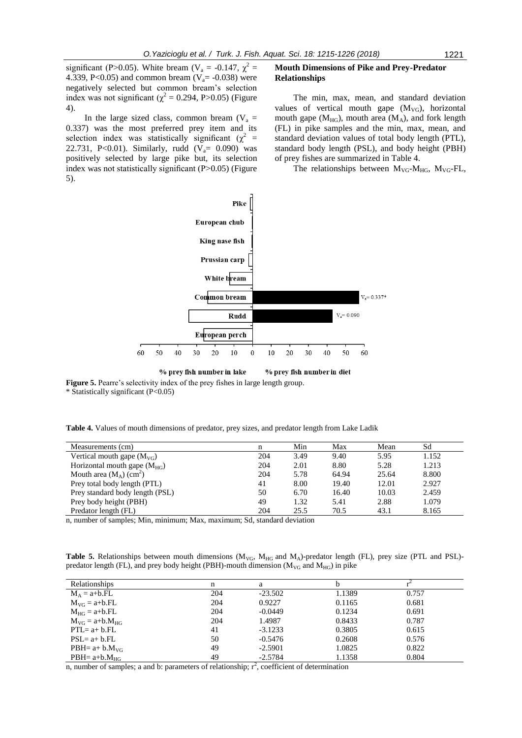significant (P>0.05). White bream (V<sub>a</sub> = -0.147,  $\chi^2$  = 4.339, P<0.05) and common bream ( $V_a$ = -0.038) were negatively selected but common bream's selection index was not significant ( $\chi^2$  = 0.294, P>0.05) (Figure 4).

In the large sized class, common bream ( $V_a$  = 0.337) was the most preferred prey item and its selection index was statistically significant ( $\chi^2$  = 22.731, P<0.01). Similarly, rudd  $(\overline{V}_a = 0.090)$  was positively selected by large pike but, its selection index was not statistically significant  $(P>0.05)$  (Figure 5).

#### **Mouth Dimensions of Pike and Prey-Predator Relationships**

The min, max, mean, and standard deviation values of vertical mouth gape  $(M_{VG})$ , horizontal mouth gape ( $M_{HG}$ ), mouth area ( $M_A$ ), and fork length (FL) in pike samples and the min, max, mean, and standard deviation values of total body length (PTL), standard body length (PSL), and body height (PBH) of prey fishes are summarized in Table 4.

The relationships between  $M_{VG}$ - $M_{HG}$ ,  $M_{VG}$ -FL,



**Figure 5.** Pearre's selectivity index of the prey fishes in large length group.

\* Statistically significant (P<0.05)

**Table 4.** Values of mouth dimensions of predator, prey sizes, and predator length from Lake Ladik

| Measurements (cm)                     | n   | Min  | Max   | Mean  | Sd    |
|---------------------------------------|-----|------|-------|-------|-------|
| Vertical mouth gape $(M_{\rm VG})$    | 204 | 3.49 | 9.40  | 5.95  | 1.152 |
| Horizontal mouth gape $(M_{HG})$      | 204 | 2.01 | 8.80  | 5.28  | 1.213 |
| Mouth area $(M_A)$ (cm <sup>2</sup> ) | 204 | 5.78 | 64.94 | 25.64 | 8.800 |
| Prey total body length (PTL)          | 41  | 8.00 | 19.40 | 12.01 | 2.927 |
| Prey standard body length (PSL)       | 50  | 6.70 | 16.40 | 10.03 | 2.459 |
| Prey body height (PBH)                | 49  | 1.32 | 5.41  | 2.88  | 1.079 |
| Predator length (FL)                  | 204 | 25.5 | 70.5  | 43.1  | 8.165 |

n, number of samples; Min, minimum; Max, maximum; Sd, standard deviation

Table 5. Relationships between mouth dimensions (M<sub>VG</sub>, M<sub>HG</sub> and M<sub>A</sub>)-predator length (FL), prey size (PTL and PSL)predator length (FL), and prey body height (PBH)-mouth dimension ( $M_{VG}$  and  $M_{HG}$ ) in pike

| <b>Relationships</b>  |     | a         |        |       |
|-----------------------|-----|-----------|--------|-------|
| $M_A = a+b.FL$        | 204 | $-23.502$ | 1.1389 | 0.757 |
| $M_{VG} = a+b.FL$     | 204 | 0.9227    | 0.1165 | 0.681 |
| $M_{HG} = a+b.FL$     | 204 | $-0.0449$ | 0.1234 | 0.691 |
| $M_{VG} = a+b.M_{HG}$ | 204 | 1.4987    | 0.8433 | 0.787 |
| $PTL = a + b. FL$     | 41  | $-3.1233$ | 0.3805 | 0.615 |
| $PSL = a + b. FL$     | 50  | $-0.5476$ | 0.2608 | 0.576 |
| PBH= $a+ b.MVC$       | 49  | $-2.5901$ | 1.0825 | 0.822 |
| $PBH = a+b.MHG$       | 49  | $-2.5784$ | 1.1358 | 0.804 |

n, number of samples; a and b: parameters of relationship;  $r^2$ , coefficient of determination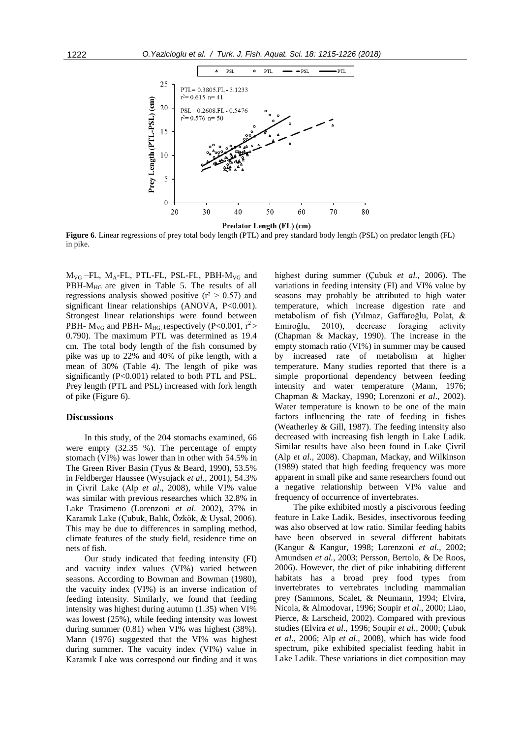

Predator Length (FL) (cm)

**Figure 6**. Linear regressions of prey total body length (PTL) and prey standard body length (PSL) on predator length (FL) in pike.

 $M_{VG}$  –FL,  $M_A$ -FL, PTL-FL, PSL-FL, PBH- $M_{VG}$  and  $PBH-M<sub>HG</sub>$  are given in Table 5. The results of all regressions analysis showed positive  $(r^2 > 0.57)$  and significant linear relationships (ANOVA, P<0.001). Strongest linear relationships were found between PBH-  $M_{VG}$  and PBH-  $M_{HG}$  respectively (P<0.001, r<sup>2</sup> > 0.790). The maximum PTL was determined as 19.4 cm. The total body length of the fish consumed by pike was up to 22% and 40% of pike length, with a mean of 30% (Table 4). The length of pike was significantly (P<0.001) related to both PTL and PSL. Prey length (PTL and PSL) increased with fork length of pike (Figure 6).

## **Discussions**

In this study, of the 204 stomachs examined, 66 were empty (32.35 %). The percentage of empty stomach (VI%) was lower than in other with 54.5% in The Green River Basin (Tyus & Beard, 1990), 53.5% in Feldberger Haussee (Wysujack *et al*., 2001), 54.3% in Çivril Lake (Alp *et al*., 2008), while VI% value was similar with previous researches which 32.8% in Lake Trasimeno (Lorenzoni *et al*. 2002), 37% in Karamık Lake (Çubuk, Balık, Özkök, & Uysal, 2006). This may be due to differences in sampling method, climate features of the study field, residence time on nets of fish.

Our study indicated that feeding intensity (FI) and vacuity index values (VI%) varied between seasons. According to Bowman and Bowman (1980), the vacuity index (VI%) is an inverse indication of feeding intensity. Similarly, we found that feeding intensity was highest during autumn (1.35) when VI% was lowest (25%), while feeding intensity was lowest during summer (0.81) when VI% was highest (38%). Mann (1976) suggested that the VI% was highest during summer. The vacuity index (VI%) value in Karamık Lake was correspond our finding and it was

highest during summer (Çubuk *et al.,* 2006). The variations in feeding intensity (FI) and VI% value by seasons may probably be attributed to high water temperature, which increase digestion rate and metabolism of fish (Yılmaz, Gaffaroğlu, Polat, & Emiroğlu, 2010), decrease foraging activity (Chapman & Mackay, 1990). The increase in the empty stomach ratio (VI%) in summer may be caused by increased rate of metabolism at higher temperature. Many studies reported that there is a simple proportional dependency between feeding intensity and water temperature (Mann, 1976; Chapman & Mackay, 1990; Lorenzoni *et al*., 2002). Water temperature is known to be one of the main factors influencing the rate of feeding in fishes (Weatherley & Gill, 1987). The feeding intensity also decreased with increasing fish length in Lake Ladik. Similar results have also been found in Lake Çivril (Alp *et al*., 2008). Chapman, Mackay, and Wilkinson (1989) stated that high feeding frequency was more apparent in small pike and same researchers found out a negative relationship between VI% value and frequency of occurrence of invertebrates.

The pike exhibited mostly a piscivorous feeding feature in Lake Ladik. Besides, insectivorous feeding was also observed at low ratio. Similar feeding habits have been observed in several different habitats (Kangur & Kangur, 1998; Lorenzoni *et al*., 2002; Amundsen *et al.*, 2003; Persson, Bertolo, & De Roos, 2006). However, the diet of pike inhabiting different habitats has a broad prey food types from invertebrates to vertebrates including mammalian prey (Sammons, Scalet, & Neumann, 1994; Elvira, Nicola, & Almodovar, 1996; Soupir *et al*., 2000; Liao, Pierce, & Larscheid, 2002). Compared with previous studies (Elvira *et al*., 1996; Soupir *et al*., 2000; Çubuk *et al*., 2006; Alp *et al*., 2008), which has wide food spectrum, pike exhibited specialist feeding habit in Lake Ladik. These variations in diet composition may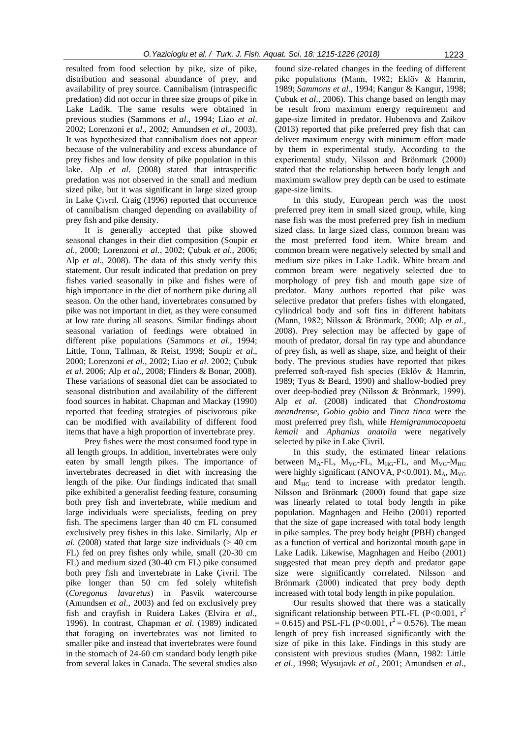resulted from food selection by pike, size of pike, distribution and seasonal abundance of prey, and availability of prey source. Cannibalism (intraspecific predation) did not occur in three size groups of pike in Lake Ladik. The same results were obtained in previous studies (Sammons *et al*., 1994; Liao *et al*. 2002; Lorenzoni *et al*., 2002; Amundsen *et al*., 2003). It was hypothesized that cannibalism does not appear because of the vulnerability and excess abundance of prey fishes and low density of pike population in this lake. Alp *et al*. (2008) stated that intraspecific predation was not observed in the small and medium sized pike, but it was significant in large sized group in Lake Çivril. Craig (1996) reported that occurrence of cannibalism changed depending on availability of prey fish and pike density.

It is generally accepted that pike showed seasonal changes in their diet composition (Soupir *et al*., 2000; Lorenzoni *et al*., 2002; Çubuk *et al*., 2006; Alp *et al*., 2008). The data of this study verify this statement. Our result indicated that predation on prey fishes varied seasonally in pike and fishes were of high importance in the diet of northern pike during all season. On the other hand, invertebrates consumed by pike was not important in diet, as they were consumed at low rate during all seasons. Similar findings about seasonal variation of feedings were obtained in different pike populations (Sammons *et al*., 1994; Little, Tonn, Tallman, & Reist, 1998; Soupir *et al*., 2000; Lorenzoni *et al*., 2002; Liao *et al*. 2002; Çubuk *et al*. 2006; Alp *et al*., 2008; Flinders & Bonar, 2008). These variations of seasonal diet can be associated to seasonal distribution and availability of the different food sources in habitat. Chapman and Mackay (1990) reported that feeding strategies of piscivorous pike can be modified with availability of different food items that have a high proportion of invertebrate prey.

Prey fishes were the most consumed food type in all length groups. In addition, invertebrates were only eaten by small length pikes. The importance of invertebrates decreased in diet with increasing the length of the pike. Our findings indicated that small pike exhibited a generalist feeding feature, consuming both prey fish and invertebrate, while medium and large individuals were specialists, feeding on prey fish. The specimens larger than 40 cm FL consumed exclusively prey fishes in this lake. Similarly, Alp *et al*. (2008) stated that large size individuals (> 40 cm FL) fed on prey fishes only while, small (20-30 cm FL) and medium sized (30-40 cm FL) pike consumed both prey fish and invertebrate in Lake Çivril. The pike longer than 50 cm fed solely whitefish (*Coregonus lavaretus*) in Pasvik watercourse (Amundsen *et al*., 2003) and fed on exclusively prey fish and crayfish in Ruidera Lakes (Elvira *et al*., 1996). In contrast, Chapman *et al*. (1989) indicated that foraging on invertebrates was not limited to smaller pike and instead that invertebrates were found in the stomach of 24-60 cm standard body length pike from several lakes in Canada. The several studies also

found size-related changes in the feeding of different pike populations (Mann, 1982; Eklöv & Hamrin, 1989; *Sammons et al.,* 1994; Kangur & Kangur, 1998; Çubuk *et al*., 2006). This change based on length may be result from maximum energy requirement and gape-size limited in predator. Hubenova and Zaikov (2013) reported that pike preferred prey fish that can deliver maximum energy with minimum effort made by them in experimental study. According to the experimental study, Nilsson and Brönmark (2000) stated that the relationship between body length and maximum swallow prey depth can be used to estimate gape-size limits.

In this study, European perch was the most preferred prey item in small sized group, while, king nase fish was the most preferred prey fish in medium sized class. In large sized class, common bream was the most preferred food item. White bream and common bream were negatively selected by small and medium size pikes in Lake Ladik. White bream and common bream were negatively selected due to morphology of prey fish and mouth gape size of predator. Many authors reported that pike was selective predator that prefers fishes with elongated, cylindrical body and soft fins in different habitats (Mann, 1982; Nilsson & Brönmark, 2000; Alp *et al*., 2008). Prey selection may be affected by gape of mouth of predator, dorsal fin ray type and abundance of prey fish, as well as shape, size, and height of their body. The previous studies have reported that pikes preferred soft-rayed fish species (Eklöv & Hamrin, 1989; Tyus & Beard, 1990) and shallow-bodied prey over deep-bodied prey (Nilsson & Brönmark, 1999). Alp *et al*. (2008) indicated that *Chondrostoma meandrense*, *Gobio gobio* and *Tinca tinca* were the most preferred prey fish, while *Hemigrammocapoeta kemali* and *Aphanius anatolia* were negatively selected by pike in Lake Çivril.

In this study, the estimated linear relations between  $M_A$ -FL,  $M_{VG}$ -FL,  $M_{HG}$ -FL, and  $M_{VG}$ - $M_{HG}$ were highly significant (ANOVA, P<0.001).  $M_A$ ,  $M_{VG}$ and  $M_{HG}$  tend to increase with predator length. Nilsson and Brönmark (2000) found that gape size was linearly related to total body length in pike population. Magnhagen and Heibo (2001) reported that the size of gape increased with total body length in pike samples. The prey body height (PBH) changed as a function of vertical and horizontal mouth gape in Lake Ladik. Likewise, Magnhagen and Heibo (2001) suggested that mean prey depth and predator gape size were significantly correlated. Nilsson and Brönmark (2000) indicated that prey body depth increased with total body length in pike population.

Our results showed that there was a statically significant relationship between PTL-FL (P<0.001,  $r^2$ )  $= 0.615$ ) and PSL-FL (P<0.001, r<sup>2</sup> = 0.576). The mean length of prey fish increased significantly with the size of pike in this lake. Findings in this study are consistent with previous studies (Mann, 1982: Little *et al*., 1998; Wysujavk *et al*., 2001; Amundsen *et al*.,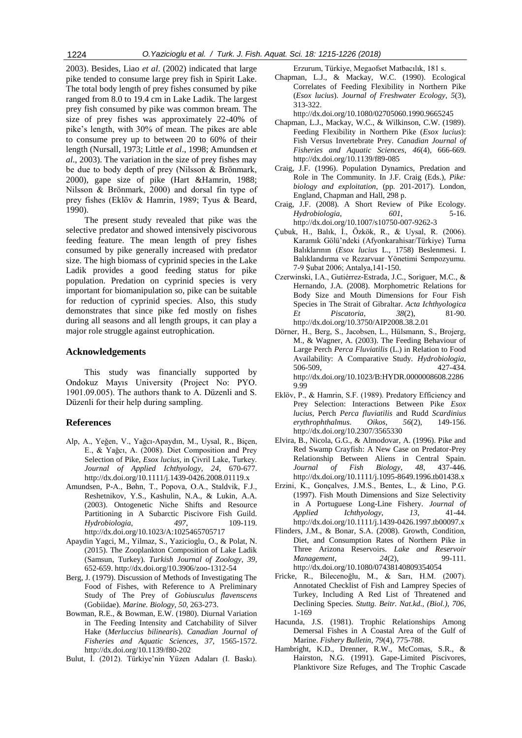2003). Besides, Liao *et al*. (2002) indicated that large pike tended to consume large prey fish in Spirit Lake. The total body length of prey fishes consumed by pike ranged from 8.0 to 19.4 cm in Lake Ladik. The largest prey fish consumed by pike was common bream. The size of prey fishes was approximately 22-40% of pike's length, with 30% of mean. The pikes are able to consume prey up to between 20 to 60% of their length (Nursall, 1973; Little *et al*., 1998; Amundsen *et al*., 2003). The variation in the size of prey fishes may be due to body depth of prey (Nilsson & Brönmark, 2000), gape size of pike (Hart &Hamrin, 1988; Nilsson & Brönmark, 2000) and dorsal fin type of prey fishes (Eklöv & Hamrin, 1989; Tyus & Beard, 1990).

The present study revealed that pike was the selective predator and showed intensively piscivorous feeding feature. The mean length of prey fishes consumed by pike generally increased with predator size. The high biomass of cyprinid species in the Lake Ladik provides a good feeding status for pike population. Predation on cyprinid species is very important for biomanipulation so, pike can be suitable for reduction of cyprinid species. Also, this study demonstrates that since pike fed mostly on fishes during all seasons and all length groups, it can play a major role struggle against eutrophication.

## **Acknowledgements**

This study was financially supported by Ondokuz Mayıs University (Project No: PYO. 1901.09.005). The authors thank to A. Düzenli and S. Düzenli for their help during sampling.

## **References**

- Alp, A., Yeğen, V., Yağcı-Apaydın, M., Uysal, R., Biçen, E., & Yağcı, A. (2008). Diet Composition and Prey Selection of Pike, *Esox lucius,* in Çivril Lake, Turkey. *Journal of Applied Ichthyology*, *24*, 670-677. http://dx.doi.org/10.1111/j.1439-0426.2008.01119.x
- Amundsen, P-A., Bøhn, T., Popova, O.A., Staldvik, F.J., Reshetnikov, Y.S., Kashulin, N.A., & Lukin, A.A. (2003). Ontogenetic Niche Shifts and Resource Partitioning in A Subarctic Piscivore Fish Guild. *Hydrobiologia*, *497*, 109-119. http://dx.doi.org/10.1023/A:1025465705717
- Apaydin Yagci, M., Yilmaz, S., Yazicioglu, O., & Polat, N. (2015). The Zooplankton Composition of Lake Ladik (Samsun, Turkey). *Turkish Journal of Zoology*, *39*, 652-659. http://dx.doi.org/10.3906/zoo-1312-54
- Berg, J. (1979). Discussion of Methods of Investigating The Food of Fishes, with Reference to A Preliminary Study of The Prey of *Gobiusculus flavenscens* (Gobiidae). *Marine. Biology, 50*, 263-273.
- Bowman, R.E., & Bowman, E.W. (1980). Diurnal Variation in The Feeding Intensity and Catchability of Silver Hake (*Merluccius bilinearis*). *Canadian Journal of Fisheries and Aquatic Sciences*, *37*, 1565-1572. http://dx.doi.org/10.1139/f80-202
- Bulut, İ. (2012). Türkiye'nin Yüzen Adaları (I. Baskı).

Erzurum, Türkiye, Megaofset Matbacılık, 181 s.

Chapman, L.J., & Mackay, W.C. (1990). Ecological Correlates of Feeding Flexibility in Northern Pike (*Esox lucius*). *Journal of Freshwater Ecology*, *5*(3), 313-322.

http://dx.doi.org/10.1080/02705060.1990.9665245

- Chapman, L.J., Mackay, W.C., & Wilkinson, C.W. (1989). Feeding Flexibility in Northern Pike (*Esox lucius*): Fish Versus Invertebrate Prey. *Canadian Journal of Fisheries and Aquatic Sciences*, *46*(4), 666-669. http://dx.doi.org/10.1139/f89-085
- Craig, J.F. (1996). Population Dynamics, Predation and Role in The Community. In J.F. Craig (Eds.), *Pike: biology and exploitation*, (pp. 201-2017). London, England, Chapman and Hall, 298 p.
- Craig, J.F. (2008). A Short Review of Pike Ecology. *Hydrobiologia*, *601*, 5-16. http://dx.doi.org/10.1007/s10750-007-9262-3
- Çubuk, H., Balık, İ., Özkök, R., & Uysal, R. (2006). Karamık Gölü'ndeki (Afyonkarahisar/Türkiye) Turna Balıklarının (*Esox lucius* L., 1758) Beslenmesi. I. Balıklandırma ve Rezarvuar Yönetimi Sempozyumu. 7-9 Şubat 2006; Antalya,141-150.
- Czerwinski, I.A., Gutiérrez-Estrada, J.C., Soriguer, M.C., & Hernando, J.A. (2008). Morphometric Relations for Body Size and Mouth Dimensions for Four Fish Species in The Strait of Gibraltar. *Acta Ichthyologica Et Piscatoria*, *38*(2), 81-90. http://dx.doi.org/10.3750/AIP2008.38.2.01
- Dörner, H., Berg, S., Jacobsen, L., Hülsmann, S., Brojerg, M., & Wagner, A. (2003). The Feeding Behaviour of Large Perch *Perca Fluviatilis* (L.) in Relation to Food Availability: A Comparative Study. *Hydrobiologia*, 506-509, 427-434. http://dx.doi.org/10.1023/B:HYDR.0000008608.2286 9.99
- Eklöv, P., & Hamrin, S.F. (1989). Predatory Efficiency and Prey Selection: Interactions Between Pike *Esox lucius*, Perch *Perca fluviatilis* and Rudd *Scardinius erythrophthalmus*. *Oikos*, *56*(2), 149-156. http://dx.doi.org/10.2307/3565330
- Elvira, B., Nicola, G.G., & Almodovar, A. (1996). Pike and Red Swamp Crayfish: A New Case on Predator-Prey Relationship Between Aliens in Central Spain.<br>
Journal of Fish Biology, 48, 437-446. *of Fish Biology*, 48, http://dx.doi.org/10.1111/j.1095-8649.1996.tb01438.x
- Erzini, K., Gonçalves, J.M.S., Bentes, L., & Lino, P.G. (1997). Fish Mouth Dimensions and Size Selectivity in A Portuguese Long-Line Fishery. *Journal of Applied Ichthyology*, *13*, 41-44. http://dx.doi.org/10.1111/j.1439-0426.1997.tb00097.x
- Flinders, J.M., & Bonar, S.A. (2008). Growth, Condition, Diet, and Consumption Rates of Northern Pike in Three Arizona Reservoirs. *Lake and Reservoir Management*, *24*(2), 99-111. http://dx.doi.org/10.1080/07438140809354054
- Fricke, R., Bilecenoğlu, M., & Sarı, H.M. (2007). Annotated Checklist of Fish and Lamprey Species of Turkey, Including A Red List of Threatened and Declining Species*. Stuttg. Beitr. Nat.kd., (Biol.), 706*, 1-169
- Hacunda, J.S. (1981). Trophic Relationships Among Demersal Fishes in A Coastal Area of the Gulf of Marine. *Fishery Bulletin*, *79*(4), 775-788.
- Hambright, K.D., Drenner, R.W., McComas, S.R., & Hairston, N.G. (1991). Gape-Limited Piscivores, Planktivore Size Refuges, and The Trophic Cascade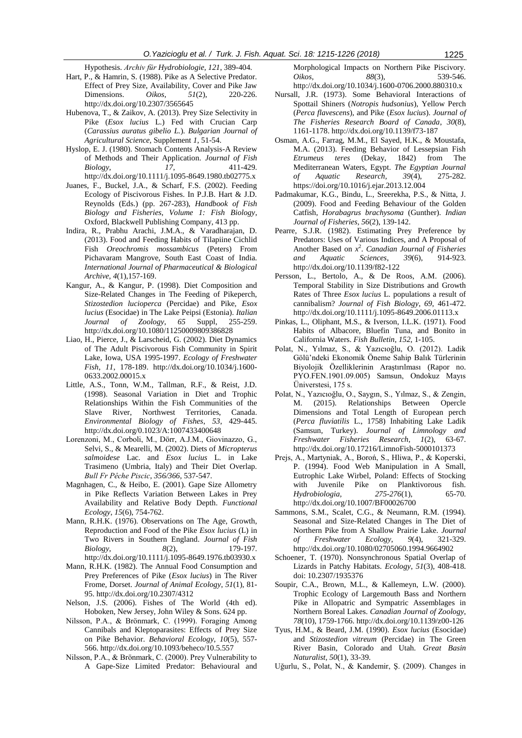Hypothesis. *Archiv für Hydrobiologie, 121*, 389-404.

- Hart, P., & Hamrin, S. (1988). Pike as A Selective Predator. Effect of Prey Size, Availability, Cover and Pike Jaw Dimensions. *Oikos*, *51*(2), 220-226. http://dx.doi.org/10.2307/3565645
- Hubenova, T., & Zaikov, A. (2013). Prey Size Selectivity in Pike (*Esox lucius* L.) Fed with Crucian Carp (*Carassius auratus gibelio L.*)*. Bulgarian Journal of Agricultural Science,* Supplement *1*, 51-54.
- Hyslop, E. J. (1980). Stomach Contents Analysis-A Review of Methods and Their Application. *Journal of Fish Biology*, *17*, 411-429. http://dx.doi.org/10.1111/j.1095-8649.1980.tb02775.x
- Juanes, F., Buckel, J.A., & Scharf, F.S. (2002). Feeding Ecology of Piscivorous Fishes. In P.J.B. Hart & J.D. Reynolds (Eds.) (pp. 267-283), *Handbook of Fish Biology and Fisheries*, *Volume 1: Fish Biology*, Oxford, Blackwell Publishing Company, 413 pp.
- Indira, R., Prabhu Arachi, J.M.A., & Varadharajan, D. (2013). Food and Feeding Habits of Tilapiine Cichlid Fish *Oreochromis mossambicus* (Peters) From Pichavaram Mangrove, South East Coast of India*. International Journal of Pharmaceutical & Biological Archive*, *4*(1),157-169.
- Kangur, A., & Kangur, P. (1998). Diet Composition and Size-Related Changes in The Feeding of Pikeperch, *Stizostedion lucioperca* (Percidae) and Pike, *Esox lucius* (Esocidae) in The Lake Peipsi (Estonia). *Italian Journal of Zoology*, *65* Suppl, 255-259. http://dx.doi.org/10.1080/11250009809386828
- Liao, H., Pierce, J., & Larscheid, G. (2002). Diet Dynamics of The Adult Piscivorous Fish Community in Spirit Lake, Iowa, USA 1995-1997. *Ecology of Freshwater Fish*, *11*, 178-189. http://dx.doi.org/10.1034/j.1600- 0633.2002.00015.x
- Little, A.S., Tonn, W.M., Tallman, R.F., & Reist, J.D. (1998). Seasonal Variation in Diet and Trophic Relationships Within the Fish Communities of the Slave River, Northwest Territories, Canada. *Environmental Biology of Fishes*, *53*, 429-445. http://dx.doi.org/0.1023/A:1007433400648
- Lorenzoni, M., Corboli, M., Dörr, A.J.M., Giovinazzo, G., Selvi, S., & Mearelli, M. (2002). Diets of *Micropterus salmoidese* Lac. and *Esox lucius* L. in Lake Trasimeno (Umbria, Italy) and Their Diet Overlap. *Bull Fr Pêche Piscic*, *356/366*, 537-547.
- Magnhagen, C., & Heibo, E. (2001). Gape Size Allometry in Pike Reflects Variation Between Lakes in Prey Availability and Relative Body Depth. *Functional Ecology*, *15*(6), 754-762.
- Mann, R.H.K. (1976). Observations on The Age, Growth, Reproduction and Food of the Pike *Esox lucius* (L) in Two Rivers in Southern England. *Journal of Fish Biology*, *8*(2), 179-197. http://dx.doi.org/10.1111/j.1095-8649.1976.tb03930.x
- Mann, R.H.K. (1982). The Annual Food Consumption and Prey Preferences of Pike (*Esox lucius*) in The River Frome, Dorset. *Journal of Animal Ecology*, *51*(1), 81- 95. http://dx.doi.org/10.2307/4312
- Nelson, J.S. (2006). Fishes of The World (4th ed). Hoboken, New Jersey, John Wiley & Sons. 624 pp.
- Nilsson, P.A., & Brönmark, C. (1999). Foraging Among Cannibals and Kleptoparasites: Effects of Prey Size on Pike Behavior. *Behavioral Ecology*, *10*(5), 557- 566. http://dx.doi.org/10.1093/beheco/10.5.557
- Nilsson, P.A., & Brönmark, C. (2000). Prey Vulnerability to A Gape-Size Limited Predator: Behavioural and

Morphological Impacts on Northern Pike Piscivory. *Oikos*, *88*(3), 539-546. http://dx.doi.org/10.1034/j.1600-0706.2000.880310.x

- Nursall, J.R. (1973). Some Behavioral Interactions of Spottail Shiners (*Notropis hudsonius*), Yellow Perch (*Perca flavescens*), and Pike (*Esox lucius*). *Journal of The Fisheries Research Board of Canada*, *30*(8), 1161-1178. http://dx.doi.org/10.1139/f73-187
- Osman, A.G., Farrag, M.M., El Sayed, H.K., & Moustafa, M.A. (2013). Feeding Behavior of Lessepsian Fish *Etrumeus teres* (Dekay, 1842) from The Mediterranean Waters, Egypt. *The Egyptian Journal of Aquatic Research*, *39*(4), 275-282. https://doi.org/10.1016/j.ejar.2013.12.004
- Padmakumar, K.G., Bindu, L., Sreerekha, P.S., & Nitta, J. (2009). Food and Feeding Behaviour of the Golden Catfish, *Horabagrus brachysoma* (Gunther). *Indian Journal of Fisheries, 56*(2), 139-142.
- Pearre, S.J.R. (1982). Estimating Prey Preference by Predators: Uses of Various Indices, and A Proposal of Another Based on *x* 2 . *Canadian Journal of Fisheries and Aquatic Sciences*, *39*(6), 914-923. http://dx.doi.org/10.1139/f82-122
- Persson, L., Bertolo, A., & De Roos, A.M. (2006). Temporal Stability in Size Distributions and Growth Rates of Three *Esox lucius* L. populations a result of cannibalism? *Journal of Fish Biology*, *69*, 461-472. http://dx.doi.org/10.1111/j.1095-8649.2006.01113.x
- Pinkas, L., Oliphant, M.S., & Iverson, I.L.K. (1971). Food Habits of Albacore, Bluefin Tuna, and Bonito in California Waters. *Fish Bulletin*, *152*, 1-105.
- Polat, N., Yılmaz, S., & Yazıcıoğlu, O. (2012). Ladik Gölü'ndeki Ekonomik Öneme Sahip Balık Türlerinin Biyolojik Özelliklerinin Araştırılması (Rapor no. PYO.FEN.1901.09.005) Samsun, Ondokuz Mayıs Üniverstesi, 175 s.
- Polat, N., Yazıcıoğlu, O., Saygın, S., Yılmaz, S., & Zengin, M. (2015). Relationships Between Opercle Dimensions and Total Length of European perch (*Perca fluviatilis* L., 1758) Inhabiting Lake Ladik (Samsun, Turkey). *Journal of Limnology and Freshwater Fisheries Research*, *1*(2), 63-67. http://dx.doi.org/10.17216/LimnoFish-5000101373
- Prejs, A., Martyniak, A., Boroń, S., Hliwa, P., & Koperski, P. (1994). Food Web Manipulation in A Small, Eutrophic Lake Wirbel, Poland: Effects of Stocking with Juvenile Pike on Planktivorous fish. *Hydrobiologia, 275-276*(1), 65-70. http://dx.doi.org/10.1007/BF00026700
- Sammons, S.M., Scalet, C.G., & Neumann, R.M. (1994). Seasonal and Size-Related Changes in The Diet of Northern Pike from A Shallow Prairie Lake. *Journal of Freshwater Ecology*, *9*(4), 321-329. http://dx.doi.org/10.1080/02705060.1994.9664902
- Schoener, T. (1970). Nonsynchronous Spatial Overlap of Lizards in Patchy Habitats. *Ecology*, *51*(3), 408-418. doi: 10.2307/1935376
- Soupir, C.A., Brown, M.L., & Kallemeyn, L.W. (2000). Trophic Ecology of Largemouth Bass and Northern Pike in Allopatric and Sympatric Assemblages in Northern Boreal Lakes. *Canadian Journal of Zoology*, *78*(10), 1759-1766. http://dx.doi.org/10.1139/z00-126
- Tyus, H.M., & Beard, J.M. (1990). *Esox lucius* (Esocidae) and *Stizostedion vitreum* (Percidae) in The Green River Basin, Colorado and Utah. *Great Basin Naturalist, 50*(1), 33-39.
- Uğurlu, S., Polat, N., & Kandemir, Ş. (2009). Changes in